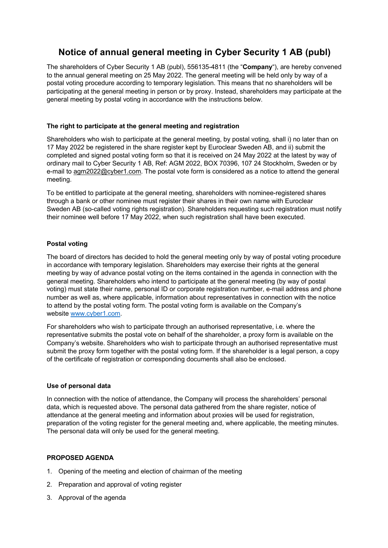# **Notice of annual general meeting in Cyber Security 1 AB (publ)**

The shareholders of Cyber Security 1 AB (publ), 556135-4811 (the "**Company**"), are hereby convened to the annual general meeting on 25 May 2022. The general meeting will be held only by way of a postal voting procedure according to temporary legislation. This means that no shareholders will be participating at the general meeting in person or by proxy. Instead, shareholders may participate at the general meeting by postal voting in accordance with the instructions below.

# **The right to participate at the general meeting and registration**

Shareholders who wish to participate at the general meeting, by postal voting, shall i) no later than on 17 May 2022 be registered in the share register kept by Euroclear Sweden AB, and ii) submit the completed and signed postal voting form so that it is received on 24 May 2022 at the latest by way of ordinary mail to Cyber Security 1 AB, Ref: AGM 2022, BOX 70396, 107 24 Stockholm, Sweden or by e-mail to agm2022@cyber1.com. The postal vote form is considered as a notice to attend the general meeting.

To be entitled to participate at the general meeting, shareholders with nominee-registered shares through a bank or other nominee must register their shares in their own name with Euroclear Sweden AB (so-called voting rights registration). Shareholders requesting such registration must notify their nominee well before 17 May 2022, when such registration shall have been executed.

# **Postal voting**

The board of directors has decided to hold the general meeting only by way of postal voting procedure in accordance with temporary legislation. Shareholders may exercise their rights at the general meeting by way of advance postal voting on the items contained in the agenda in connection with the general meeting. Shareholders who intend to participate at the general meeting (by way of postal voting) must state their name, personal ID or corporate registration number, e-mail address and phone number as well as, where applicable, information about representatives in connection with the notice to attend by the postal voting form. The postal voting form is available on the Company's website www.cyber1.com.

For shareholders who wish to participate through an authorised representative, i.e. where the representative submits the postal vote on behalf of the shareholder, a proxy form is available on the Company's website. Shareholders who wish to participate through an authorised representative must submit the proxy form together with the postal voting form. If the shareholder is a legal person, a copy of the certificate of registration or corresponding documents shall also be enclosed.

## **Use of personal data**

In connection with the notice of attendance, the Company will process the shareholders' personal data, which is requested above. The personal data gathered from the share register, notice of attendance at the general meeting and information about proxies will be used for registration, preparation of the voting register for the general meeting and, where applicable, the meeting minutes. The personal data will only be used for the general meeting.

# **PROPOSED AGENDA**

- 1. Opening of the meeting and election of chairman of the meeting
- 2. Preparation and approval of voting register
- 3. Approval of the agenda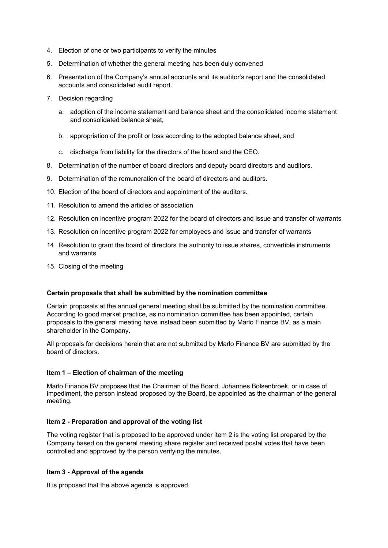- 4. Election of one or two participants to verify the minutes
- 5. Determination of whether the general meeting has been duly convened
- 6. Presentation of the Company's annual accounts and its auditor's report and the consolidated accounts and consolidated audit report.
- 7. Decision regarding
	- a. adoption of the income statement and balance sheet and the consolidated income statement and consolidated balance sheet,
	- b. appropriation of the profit or loss according to the adopted balance sheet, and
	- c. discharge from liability for the directors of the board and the CEO.
- 8. Determination of the number of board directors and deputy board directors and auditors.
- 9. Determination of the remuneration of the board of directors and auditors.
- 10. Election of the board of directors and appointment of the auditors.
- 11. Resolution to amend the articles of association
- 12. Resolution on incentive program 2022 for the board of directors and issue and transfer of warrants
- 13. Resolution on incentive program 2022 for employees and issue and transfer of warrants
- 14. Resolution to grant the board of directors the authority to issue shares, convertible instruments and warrants
- 15. Closing of the meeting

## **Certain proposals that shall be submitted by the nomination committee**

Certain proposals at the annual general meeting shall be submitted by the nomination committee. According to good market practice, as no nomination committee has been appointed, certain proposals to the general meeting have instead been submitted by Marlo Finance BV, as a main shareholder in the Company.

All proposals for decisions herein that are not submitted by Marlo Finance BV are submitted by the board of directors.

#### **Item 1 – Election of chairman of the meeting**

Marlo Finance BV proposes that the Chairman of the Board, Johannes Bolsenbroek, or in case of impediment, the person instead proposed by the Board, be appointed as the chairman of the general meeting.

#### **Item 2 - Preparation and approval of the voting list**

The voting register that is proposed to be approved under item 2 is the voting list prepared by the Company based on the general meeting share register and received postal votes that have been controlled and approved by the person verifying the minutes.

#### **Item 3 - Approval of the agenda**

It is proposed that the above agenda is approved.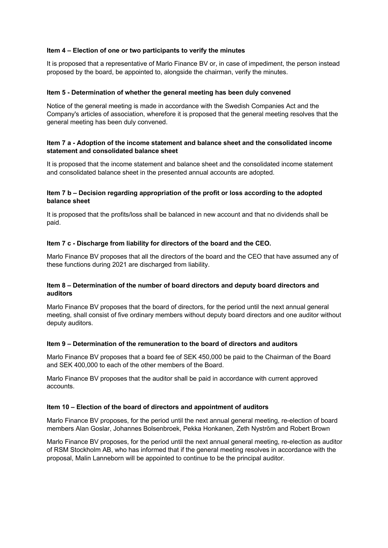## **Item 4 – Election of one or two participants to verify the minutes**

It is proposed that a representative of Marlo Finance BV or, in case of impediment, the person instead proposed by the board, be appointed to, alongside the chairman, verify the minutes.

## **Item 5 - Determination of whether the general meeting has been duly convened**

Notice of the general meeting is made in accordance with the Swedish Companies Act and the Company's articles of association, wherefore it is proposed that the general meeting resolves that the general meeting has been duly convened.

## **Item 7 a - Adoption of the income statement and balance sheet and the consolidated income statement and consolidated balance sheet**

It is proposed that the income statement and balance sheet and the consolidated income statement and consolidated balance sheet in the presented annual accounts are adopted.

## **Item 7 b – Decision regarding appropriation of the profit or loss according to the adopted balance sheet**

It is proposed that the profits/loss shall be balanced in new account and that no dividends shall be paid.

## **Item 7 c - Discharge from liability for directors of the board and the CEO.**

Marlo Finance BV proposes that all the directors of the board and the CEO that have assumed any of these functions during 2021 are discharged from liability.

## **Item 8 – Determination of the number of board directors and deputy board directors and auditors**

Marlo Finance BV proposes that the board of directors, for the period until the next annual general meeting, shall consist of five ordinary members without deputy board directors and one auditor without deputy auditors.

## **Item 9 – Determination of the remuneration to the board of directors and auditors**

Marlo Finance BV proposes that a board fee of SEK 450,000 be paid to the Chairman of the Board and SEK 400,000 to each of the other members of the Board.

Marlo Finance BV proposes that the auditor shall be paid in accordance with current approved accounts.

## **Item 10 – Election of the board of directors and appointment of auditors**

Marlo Finance BV proposes, for the period until the next annual general meeting, re-election of board members Alan Goslar, Johannes Bolsenbroek, Pekka Honkanen, Zeth Nyström and Robert Brown

Marlo Finance BV proposes, for the period until the next annual general meeting, re-election as auditor of RSM Stockholm AB, who has informed that if the general meeting resolves in accordance with the proposal, Malin Lanneborn will be appointed to continue to be the principal auditor.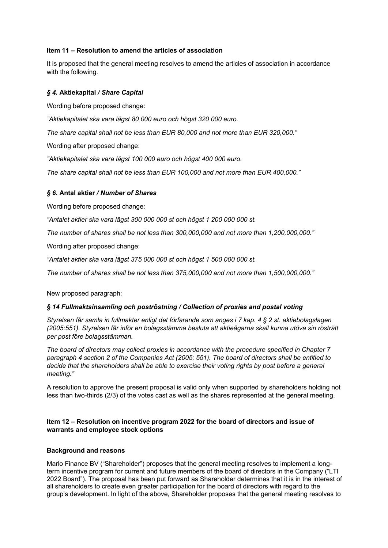## **Item 11 – Resolution to amend the articles of association**

It is proposed that the general meeting resolves to amend the articles of association in accordance with the following.

# *§ 4.* **Aktiekapital** */ Share Capital*

Wording before proposed change:

*"Aktiekapitalet ska vara lägst 80 000 euro och högst 320 000 euro.*

*The share capital shall not be less than EUR 80,000 and not more than EUR 320,000."*

Wording after proposed change:

*"Aktiekapitalet ska vara lägst 100 000 euro och högst 400 000 euro.*

*The share capital shall not be less than EUR 100,000 and not more than EUR 400,000."*

# *§ 6.* **Antal aktier** */ Number of Shares*

Wording before proposed change:

*"Antalet aktier ska vara lägst 300 000 000 st och högst 1 200 000 000 st.*

*The number of shares shall be not less than 300,000,000 and not more than 1,200,000,000."*

Wording after proposed change:

*"Antalet aktier ska vara lägst 375 000 000 st och högst 1 500 000 000 st.*

*The number of shares shall be not less than 375,000,000 and not more than 1,500,000,000."*

New proposed paragraph:

## *§ 14 Fullmaktsinsamling och poströstning / Collection of proxies and postal voting*

*Styrelsen får samla in fullmakter enligt det förfarande som anges i 7 kap. 4 § 2 st. aktiebolagslagen (2005:551). Styrelsen får inför en bolagsstämma besluta att aktieägarna skall kunna utöva sin rösträtt per post före bolagsstämman.*

*The board of directors may collect proxies in accordance with the procedure specified in Chapter 7 paragraph 4 section 2 of the Companies Act (2005: 551). The board of directors shall be entitled to decide that the shareholders shall be able to exercise their voting rights by post before a general meeting."*

A resolution to approve the present proposal is valid only when supported by shareholders holding not less than two-thirds (2/3) of the votes cast as well as the shares represented at the general meeting.

## **Item 12 – Resolution on incentive program 2022 for the board of directors and issue of warrants and employee stock options**

## **Background and reasons**

Marlo Finance BV ("Shareholder") proposes that the general meeting resolves to implement a longterm incentive program for current and future members of the board of directors in the Company ("LTI 2022 Board"). The proposal has been put forward as Shareholder determines that it is in the interest of all shareholders to create even greater participation for the board of directors with regard to the group's development. In light of the above, Shareholder proposes that the general meeting resolves to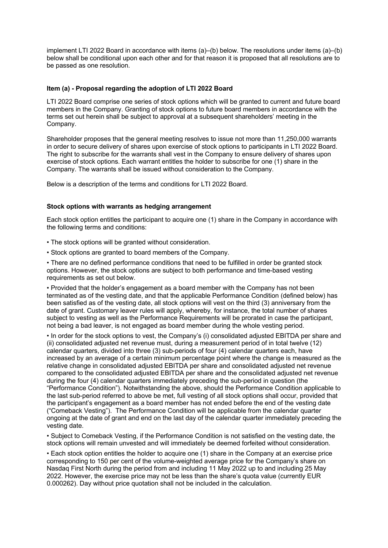implement LTI 2022 Board in accordance with items (a)–(b) below. The resolutions under items (a)–(b) below shall be conditional upon each other and for that reason it is proposed that all resolutions are to be passed as one resolution.

## **Item (a) - Proposal regarding the adoption of LTI 2022 Board**

LTI 2022 Board comprise one series of stock options which will be granted to current and future board members in the Company. Granting of stock options to future board members in accordance with the terms set out herein shall be subject to approval at a subsequent shareholders' meeting in the Company.

Shareholder proposes that the general meeting resolves to issue not more than 11,250,000 warrants in order to secure delivery of shares upon exercise of stock options to participants in LTI 2022 Board. The right to subscribe for the warrants shall vest in the Company to ensure delivery of shares upon exercise of stock options. Each warrant entitles the holder to subscribe for one (1) share in the Company. The warrants shall be issued without consideration to the Company.

Below is a description of the terms and conditions for LTI 2022 Board.

#### **Stock options with warrants as hedging arrangement**

Each stock option entitles the participant to acquire one (1) share in the Company in accordance with the following terms and conditions:

- The stock options will be granted without consideration.
- Stock options are granted to board members of the Company.

• There are no defined performance conditions that need to be fulfilled in order be granted stock options. However, the stock options are subject to both performance and time-based vesting requirements as set out below.

• Provided that the holder's engagement as a board member with the Company has not been terminated as of the vesting date, and that the applicable Performance Condition (defined below) has been satisfied as of the vesting date, all stock options will vest on the third (3) anniversary from the date of grant. Customary leaver rules will apply, whereby, for instance, the total number of shares subject to vesting as well as the Performance Requirements will be prorated in case the participant, not being a bad leaver, is not engaged as board member during the whole vesting period.

• In order for the stock options to vest, the Company's (i) consolidated adjusted EBITDA per share and (ii) consolidated adjusted net revenue must, during a measurement period of in total twelve (12) calendar quarters, divided into three (3) sub-periods of four (4) calendar quarters each, have increased by an average of a certain minimum percentage point where the change is measured as the relative change in consolidated adjusted EBITDA per share and consolidated adjusted net revenue compared to the consolidated adjusted EBITDA per share and the consolidated adjusted net revenue during the four (4) calendar quarters immediately preceding the sub-period in question (the "Performance Condition"). Notwithstanding the above, should the Performance Condition applicable to the last sub-period referred to above be met, full vesting of all stock options shall occur, provided that the participant's engagement as a board member has not ended before the end of the vesting date ("Comeback Vesting"). The Performance Condition will be applicable from the calendar quarter ongoing at the date of grant and end on the last day of the calendar quarter immediately preceding the vesting date.

• Subject to Comeback Vesting, if the Performance Condition is not satisfied on the vesting date, the stock options will remain unvested and will immediately be deemed forfeited without consideration.

• Each stock option entitles the holder to acquire one (1) share in the Company at an exercise price corresponding to 150 per cent of the volume-weighted average price for the Company's share on Nasdaq First North during the period from and including 11 May 2022 up to and including 25 May 2022. However, the exercise price may not be less than the share's quota value (currently EUR 0.000262). Day without price quotation shall not be included in the calculation.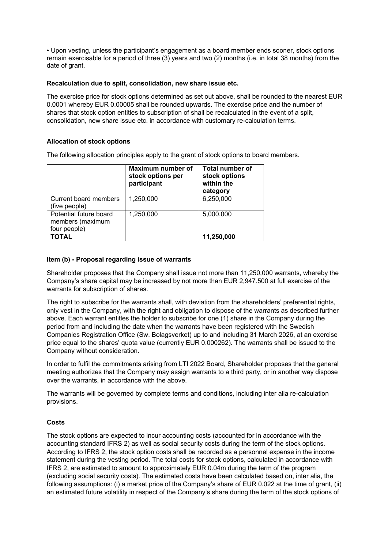• Upon vesting, unless the participant's engagement as a board member ends sooner, stock options remain exercisable for a period of three (3) years and two (2) months (i.e. in total 38 months) from the date of grant.

## **Recalculation due to split, consolidation, new share issue etc.**

The exercise price for stock options determined as set out above, shall be rounded to the nearest EUR 0.0001 whereby EUR 0.00005 shall be rounded upwards. The exercise price and the number of shares that stock option entitles to subscription of shall be recalculated in the event of a split, consolidation, new share issue etc. in accordance with customary re-calculation terms.

## **Allocation of stock options**

The following allocation principles apply to the grant of stock options to board members.

|                                                            | Maximum number of<br>stock options per<br>participant | <b>Total number of</b><br>stock options<br>within the<br>category |
|------------------------------------------------------------|-------------------------------------------------------|-------------------------------------------------------------------|
| Current board members<br>(five people)                     | 1,250,000                                             | 6,250,000                                                         |
| Potential future board<br>members (maximum<br>four people) | 1,250,000                                             | 5,000,000                                                         |
| TOTAL                                                      |                                                       | 11,250,000                                                        |

#### **Item (b) - Proposal regarding issue of warrants**

Shareholder proposes that the Company shall issue not more than 11,250,000 warrants, whereby the Company's share capital may be increased by not more than EUR 2,947.500 at full exercise of the warrants for subscription of shares.

The right to subscribe for the warrants shall, with deviation from the shareholders' preferential rights, only vest in the Company, with the right and obligation to dispose of the warrants as described further above. Each warrant entitles the holder to subscribe for one (1) share in the Company during the period from and including the date when the warrants have been registered with the Swedish Companies Registration Office (Sw. Bolagsverket) up to and including 31 March 2026, at an exercise price equal to the shares' quota value (currently EUR 0.000262). The warrants shall be issued to the Company without consideration.

In order to fulfil the commitments arising from LTI 2022 Board, Shareholder proposes that the general meeting authorizes that the Company may assign warrants to a third party, or in another way dispose over the warrants, in accordance with the above.

The warrants will be governed by complete terms and conditions, including inter alia re-calculation provisions.

## **Costs**

The stock options are expected to incur accounting costs (accounted for in accordance with the accounting standard IFRS 2) as well as social security costs during the term of the stock options. According to IFRS 2, the stock option costs shall be recorded as a personnel expense in the income statement during the vesting period. The total costs for stock options, calculated in accordance with IFRS 2, are estimated to amount to approximately EUR 0.04m during the term of the program (excluding social security costs). The estimated costs have been calculated based on, inter alia, the following assumptions: (i) a market price of the Company's share of EUR 0.022 at the time of grant, (ii) an estimated future volatility in respect of the Company's share during the term of the stock options of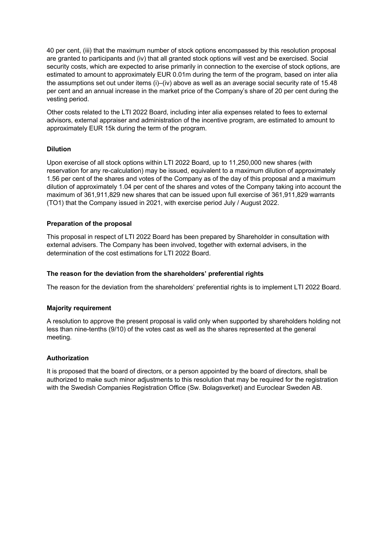40 per cent, (iii) that the maximum number of stock options encompassed by this resolution proposal are granted to participants and (iv) that all granted stock options will vest and be exercised. Social security costs, which are expected to arise primarily in connection to the exercise of stock options, are estimated to amount to approximately EUR 0.01m during the term of the program, based on inter alia the assumptions set out under items (i)–(iv) above as well as an average social security rate of 15.48 per cent and an annual increase in the market price of the Company's share of 20 per cent during the vesting period.

Other costs related to the LTI 2022 Board, including inter alia expenses related to fees to external advisors, external appraiser and administration of the incentive program, are estimated to amount to approximately EUR 15k during the term of the program.

# **Dilution**

Upon exercise of all stock options within LTI 2022 Board, up to 11,250,000 new shares (with reservation for any re-calculation) may be issued, equivalent to a maximum dilution of approximately 1.56 per cent of the shares and votes of the Company as of the day of this proposal and a maximum dilution of approximately 1.04 per cent of the shares and votes of the Company taking into account the maximum of 361,911,829 new shares that can be issued upon full exercise of 361,911,829 warrants (TO1) that the Company issued in 2021, with exercise period July / August 2022.

## **Preparation of the proposal**

This proposal in respect of LTI 2022 Board has been prepared by Shareholder in consultation with external advisers. The Company has been involved, together with external advisers, in the determination of the cost estimations for LTI 2022 Board.

## **The reason for the deviation from the shareholders' preferential rights**

The reason for the deviation from the shareholders' preferential rights is to implement LTI 2022 Board.

## **Majority requirement**

A resolution to approve the present proposal is valid only when supported by shareholders holding not less than nine-tenths (9/10) of the votes cast as well as the shares represented at the general meeting.

#### **Authorization**

It is proposed that the board of directors, or a person appointed by the board of directors, shall be authorized to make such minor adjustments to this resolution that may be required for the registration with the Swedish Companies Registration Office (Sw. Bolagsverket) and Euroclear Sweden AB.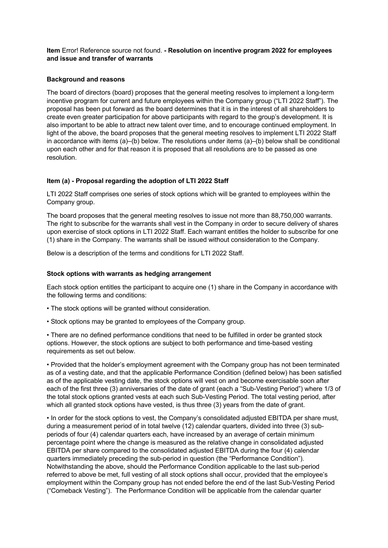**Item** Error! Reference source not found. **- Resolution on incentive program 2022 for employees and issue and transfer of warrants**

## **Background and reasons**

The board of directors (board) proposes that the general meeting resolves to implement a long-term incentive program for current and future employees within the Company group ("LTI 2022 Staff"). The proposal has been put forward as the board determines that it is in the interest of all shareholders to create even greater participation for above participants with regard to the group's development. It is also important to be able to attract new talent over time, and to encourage continued employment. In light of the above, the board proposes that the general meeting resolves to implement LTI 2022 Staff in accordance with items (a)–(b) below. The resolutions under items (a)–(b) below shall be conditional upon each other and for that reason it is proposed that all resolutions are to be passed as one resolution.

#### **Item (a) - Proposal regarding the adoption of LTI 2022 Staff**

LTI 2022 Staff comprises one series of stock options which will be granted to employees within the Company group.

The board proposes that the general meeting resolves to issue not more than 88,750,000 warrants. The right to subscribe for the warrants shall vest in the Company in order to secure delivery of shares upon exercise of stock options in LTI 2022 Staff. Each warrant entitles the holder to subscribe for one (1) share in the Company. The warrants shall be issued without consideration to the Company.

Below is a description of the terms and conditions for LTI 2022 Staff.

#### **Stock options with warrants as hedging arrangement**

Each stock option entitles the participant to acquire one (1) share in the Company in accordance with the following terms and conditions:

- The stock options will be granted without consideration.
- Stock options may be granted to employees of the Company group.

• There are no defined performance conditions that need to be fulfilled in order be granted stock options. However, the stock options are subject to both performance and time-based vesting requirements as set out below.

• Provided that the holder's employment agreement with the Company group has not been terminated as of a vesting date, and that the applicable Performance Condition (defined below) has been satisfied as of the applicable vesting date, the stock options will vest on and become exercisable soon after each of the first three (3) anniversaries of the date of grant (each a "Sub-Vesting Period") where 1/3 of the total stock options granted vests at each such Sub-Vesting Period. The total vesting period, after which all granted stock options have vested, is thus three (3) years from the date of grant.

• In order for the stock options to vest, the Company's consolidated adjusted EBITDA per share must, during a measurement period of in total twelve (12) calendar quarters, divided into three (3) subperiods of four (4) calendar quarters each, have increased by an average of certain minimum percentage point where the change is measured as the relative change in consolidated adjusted EBITDA per share compared to the consolidated adjusted EBITDA during the four (4) calendar quarters immediately preceding the sub-period in question (the "Performance Condition"). Notwithstanding the above, should the Performance Condition applicable to the last sub-period referred to above be met, full vesting of all stock options shall occur, provided that the employee's employment within the Company group has not ended before the end of the last Sub-Vesting Period ("Comeback Vesting"). The Performance Condition will be applicable from the calendar quarter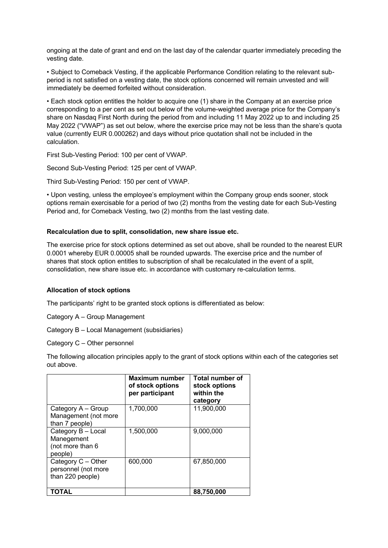ongoing at the date of grant and end on the last day of the calendar quarter immediately preceding the vesting date.

• Subject to Comeback Vesting, if the applicable Performance Condition relating to the relevant subperiod is not satisfied on a vesting date, the stock options concerned will remain unvested and will immediately be deemed forfeited without consideration.

• Each stock option entitles the holder to acquire one (1) share in the Company at an exercise price corresponding to a per cent as set out below of the volume-weighted average price for the Company's share on Nasdaq First North during the period from and including 11 May 2022 up to and including 25 May 2022 ("VWAP") as set out below, where the exercise price may not be less than the share's quota value (currently EUR 0.000262) and days without price quotation shall not be included in the calculation.

First Sub-Vesting Period: 100 per cent of VWAP.

Second Sub-Vesting Period: 125 per cent of VWAP.

Third Sub-Vesting Period: 150 per cent of VWAP.

• Upon vesting, unless the employee's employment within the Company group ends sooner, stock options remain exercisable for a period of two (2) months from the vesting date for each Sub-Vesting Period and, for Comeback Vesting, two (2) months from the last vesting date.

#### **Recalculation due to split, consolidation, new share issue etc.**

The exercise price for stock options determined as set out above, shall be rounded to the nearest EUR 0.0001 whereby EUR 0.00005 shall be rounded upwards. The exercise price and the number of shares that stock option entitles to subscription of shall be recalculated in the event of a split, consolidation, new share issue etc. in accordance with customary re-calculation terms.

## **Allocation of stock options**

The participants' right to be granted stock options is differentiated as below:

Category A – Group Management

Category B – Local Management (subsidiaries)

Category C – Other personnel

The following allocation principles apply to the grant of stock options within each of the categories set out above.

|                                                                 | Maximum number<br>of stock options<br>per participant | Total number of<br>stock options<br>within the<br>category |
|-----------------------------------------------------------------|-------------------------------------------------------|------------------------------------------------------------|
| Category A - Group<br>Management (not more<br>than 7 people)    | 1,700,000                                             | 11,900,000                                                 |
| Category B - Local<br>Manegement<br>(not more than 6<br>people) | 1,500,000                                             | 9,000,000                                                  |
| Category C - Other<br>personnel (not more<br>than 220 people)   | 600,000                                               | 67,850,000                                                 |
| ΤΟΤΑL                                                           |                                                       | 88.750.000                                                 |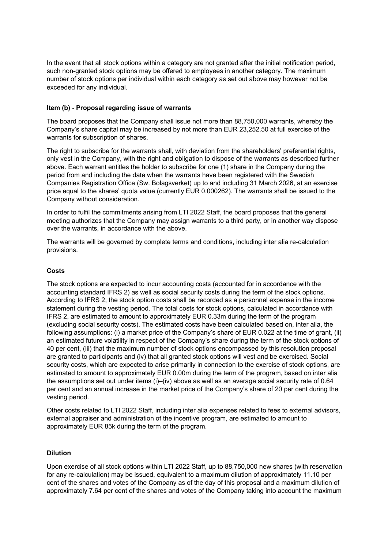In the event that all stock options within a category are not granted after the initial notification period, such non-granted stock options may be offered to employees in another category. The maximum number of stock options per individual within each category as set out above may however not be exceeded for any individual.

## **Item (b) - Proposal regarding issue of warrants**

The board proposes that the Company shall issue not more than 88,750,000 warrants, whereby the Company's share capital may be increased by not more than EUR 23,252.50 at full exercise of the warrants for subscription of shares.

The right to subscribe for the warrants shall, with deviation from the shareholders' preferential rights, only vest in the Company, with the right and obligation to dispose of the warrants as described further above. Each warrant entitles the holder to subscribe for one (1) share in the Company during the period from and including the date when the warrants have been registered with the Swedish Companies Registration Office (Sw. Bolagsverket) up to and including 31 March 2026, at an exercise price equal to the shares' quota value (currently EUR 0.000262). The warrants shall be issued to the Company without consideration.

In order to fulfil the commitments arising from LTI 2022 Staff, the board proposes that the general meeting authorizes that the Company may assign warrants to a third party, or in another way dispose over the warrants, in accordance with the above.

The warrants will be governed by complete terms and conditions, including inter alia re-calculation provisions.

#### **Costs**

The stock options are expected to incur accounting costs (accounted for in accordance with the accounting standard IFRS 2) as well as social security costs during the term of the stock options. According to IFRS 2, the stock option costs shall be recorded as a personnel expense in the income statement during the vesting period. The total costs for stock options, calculated in accordance with IFRS 2, are estimated to amount to approximately EUR 0.33m during the term of the program (excluding social security costs). The estimated costs have been calculated based on, inter alia, the following assumptions: (i) a market price of the Company's share of EUR 0.022 at the time of grant, (ii) an estimated future volatility in respect of the Company's share during the term of the stock options of 40 per cent, (iii) that the maximum number of stock options encompassed by this resolution proposal are granted to participants and (iv) that all granted stock options will vest and be exercised. Social security costs, which are expected to arise primarily in connection to the exercise of stock options, are estimated to amount to approximately EUR 0.00m during the term of the program, based on inter alia the assumptions set out under items (i)–(iv) above as well as an average social security rate of 0.64 per cent and an annual increase in the market price of the Company's share of 20 per cent during the vesting period.

Other costs related to LTI 2022 Staff, including inter alia expenses related to fees to external advisors, external appraiser and administration of the incentive program, are estimated to amount to approximately EUR 85k during the term of the program.

## **Dilution**

Upon exercise of all stock options within LTI 2022 Staff, up to 88,750,000 new shares (with reservation for any re-calculation) may be issued, equivalent to a maximum dilution of approximately 11.10 per cent of the shares and votes of the Company as of the day of this proposal and a maximum dilution of approximately 7.64 per cent of the shares and votes of the Company taking into account the maximum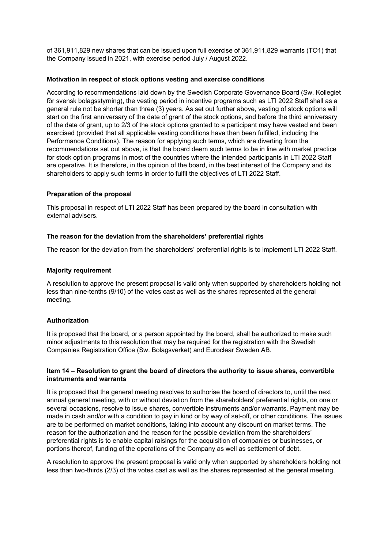of 361,911,829 new shares that can be issued upon full exercise of 361,911,829 warrants (TO1) that the Company issued in 2021, with exercise period July / August 2022.

## **Motivation in respect of stock options vesting and exercise conditions**

According to recommendations laid down by the Swedish Corporate Governance Board (Sw. Kollegiet för svensk bolagsstyrning), the vesting period in incentive programs such as LTI 2022 Staff shall as a general rule not be shorter than three (3) years. As set out further above, vesting of stock options will start on the first anniversary of the date of grant of the stock options, and before the third anniversary of the date of grant, up to 2/3 of the stock options granted to a participant may have vested and been exercised (provided that all applicable vesting conditions have then been fulfilled, including the Performance Conditions). The reason for applying such terms, which are diverting from the recommendations set out above, is that the board deem such terms to be in line with market practice for stock option programs in most of the countries where the intended participants in LTI 2022 Staff are operative. It is therefore, in the opinion of the board, in the best interest of the Company and its shareholders to apply such terms in order to fulfil the objectives of LTI 2022 Staff.

#### **Preparation of the proposal**

This proposal in respect of LTI 2022 Staff has been prepared by the board in consultation with external advisers.

#### **The reason for the deviation from the shareholders' preferential rights**

The reason for the deviation from the shareholders' preferential rights is to implement LTI 2022 Staff.

#### **Majority requirement**

A resolution to approve the present proposal is valid only when supported by shareholders holding not less than nine-tenths (9/10) of the votes cast as well as the shares represented at the general meeting.

#### **Authorization**

It is proposed that the board, or a person appointed by the board, shall be authorized to make such minor adjustments to this resolution that may be required for the registration with the Swedish Companies Registration Office (Sw. Bolagsverket) and Euroclear Sweden AB.

#### **Item 14 – Resolution to grant the board of directors the authority to issue shares, convertible instruments and warrants**

It is proposed that the general meeting resolves to authorise the board of directors to, until the next annual general meeting, with or without deviation from the shareholders' preferential rights, on one or several occasions, resolve to issue shares, convertible instruments and/or warrants. Payment may be made in cash and/or with a condition to pay in kind or by way of set-off, or other conditions. The issues are to be performed on market conditions, taking into account any discount on market terms. The reason for the authorization and the reason for the possible deviation from the shareholders' preferential rights is to enable capital raisings for the acquisition of companies or businesses, or portions thereof, funding of the operations of the Company as well as settlement of debt.

A resolution to approve the present proposal is valid only when supported by shareholders holding not less than two-thirds (2/3) of the votes cast as well as the shares represented at the general meeting.